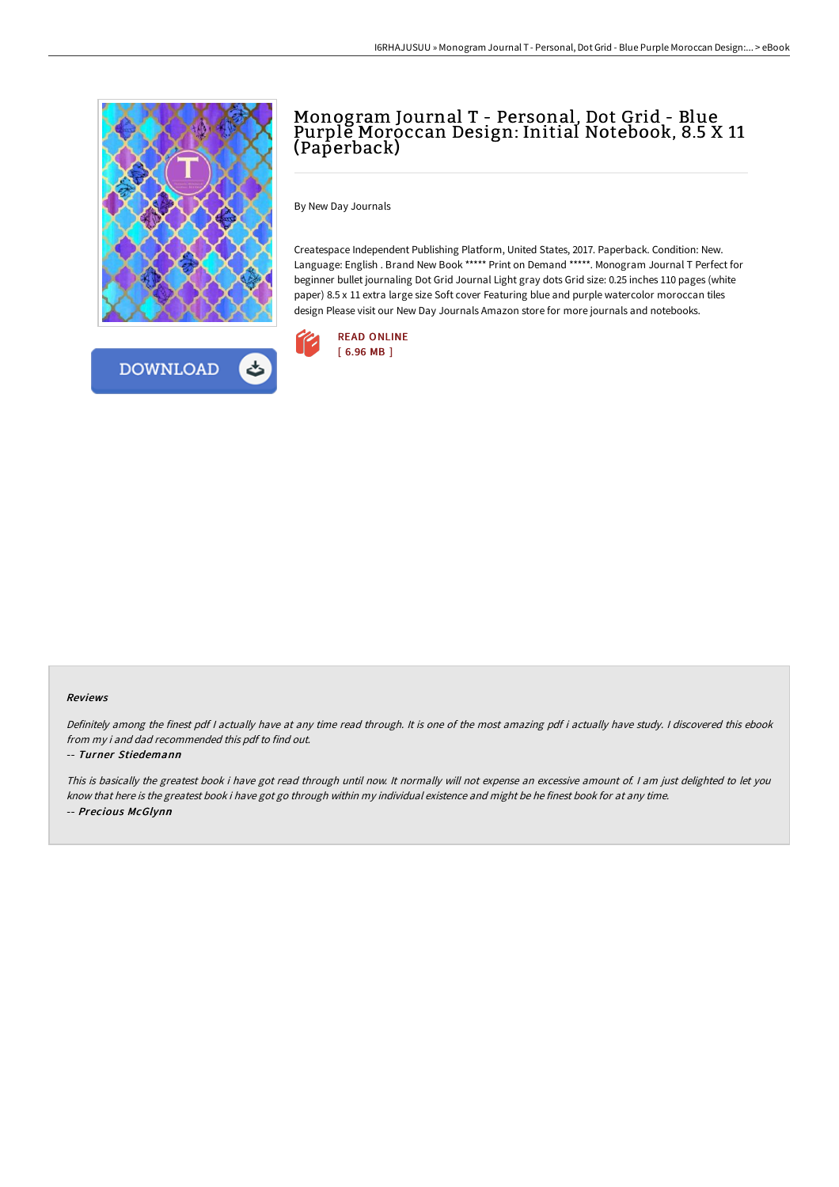

## Monogram Journal T - Personal, Dot Grid - Blue Purple Moroccan Design: Initial Notebook, 8.5 X 11 (Paperback)

By New Day Journals

Createspace Independent Publishing Platform, United States, 2017. Paperback. Condition: New. Language: English . Brand New Book \*\*\*\*\* Print on Demand \*\*\*\*\*. Monogram Journal T Perfect for beginner bullet journaling Dot Grid Journal Light gray dots Grid size: 0.25 inches 110 pages (white paper) 8.5 x 11 extra large size Soft cover Featuring blue and purple watercolor moroccan tiles design Please visit our New Day Journals Amazon store for more journals and notebooks.



## Reviews

Definitely among the finest pdf <sup>I</sup> actually have at any time read through. It is one of the most amazing pdf i actually have study. <sup>I</sup> discovered this ebook from my i and dad recommended this pdf to find out.

## -- Turner Stiedemann

This is basically the greatest book i have got read through until now. It normally will not expense an excessive amount of. <sup>I</sup> am just delighted to let you know that here is the greatest book i have got go through within my individual existence and might be he finest book for at any time. -- Precious McGlynn